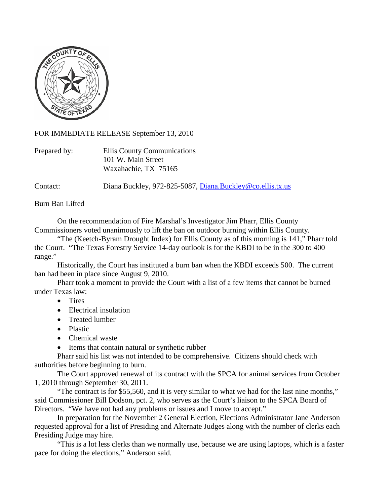

FOR IMMEDIATE RELEASE September 13, 2010

| Prepared by: | Ellis County Communications |
|--------------|-----------------------------|
|              | 101 W. Main Street          |
|              | Waxahachie, TX 75165        |

Contact: Diana Buckley, 972-825-5087, [Diana.Buckley@co.ellis.tx.us](mailto:Diana.Buckley@co.ellis.tx.us)

Burn Ban Lifted

On the recommendation of Fire Marshal's Investigator Jim Pharr, Ellis County Commissioners voted unanimously to lift the ban on outdoor burning within Ellis County.

"The (Keetch-Byram Drought Index) for Ellis County as of this morning is 141," Pharr told the Court. "The Texas Forestry Service 14-day outlook is for the KBDI to be in the 300 to 400 range."

Historically, the Court has instituted a burn ban when the KBDI exceeds 500. The current ban had been in place since August 9, 2010.

Pharr took a moment to provide the Court with a list of a few items that cannot be burned under Texas law:

- Tires
- Electrical insulation
- Treated lumber
- Plastic
- Chemical waste
- Items that contain natural or synthetic rubber

Pharr said his list was not intended to be comprehensive. Citizens should check with authorities before beginning to burn.

The Court approved renewal of its contract with the SPCA for animal services from October 1, 2010 through September 30, 2011.

"The contract is for \$55,560, and it is very similar to what we had for the last nine months," said Commissioner Bill Dodson, pct. 2, who serves as the Court's liaison to the SPCA Board of Directors. "We have not had any problems or issues and I move to accept."

In preparation for the November 2 General Election, Elections Administrator Jane Anderson requested approval for a list of Presiding and Alternate Judges along with the number of clerks each Presiding Judge may hire.

"This is a lot less clerks than we normally use, because we are using laptops, which is a faster pace for doing the elections," Anderson said.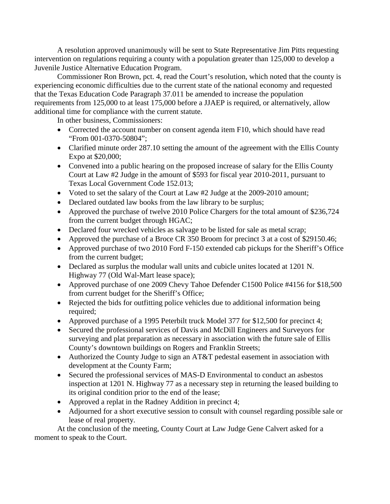A resolution approved unanimously will be sent to State Representative Jim Pitts requesting intervention on regulations requiring a county with a population greater than 125,000 to develop a Juvenile Justice Alternative Education Program.

Commissioner Ron Brown, pct. 4, read the Court's resolution, which noted that the county is experiencing economic difficulties due to the current state of the national economy and requested that the Texas Education Code Paragraph 37.011 be amended to increase the population requirements from 125,000 to at least 175,000 before a JJAEP is required, or alternatively, allow additional time for compliance with the current statute.

In other business, Commissioners:

- Corrected the account number on consent agenda item F10, which should have read "From 001-0370-50804";
- Clarified minute order 287.10 setting the amount of the agreement with the Ellis County Expo at \$20,000;
- Convened into a public hearing on the proposed increase of salary for the Ellis County Court at Law #2 Judge in the amount of \$593 for fiscal year 2010-2011, pursuant to Texas Local Government Code 152.013;
- Voted to set the salary of the Court at Law #2 Judge at the 2009-2010 amount;
- Declared outdated law books from the law library to be surplus;
- Approved the purchase of twelve 2010 Police Chargers for the total amount of \$236,724 from the current budget through HGAC;
- Declared four wrecked vehicles as salvage to be listed for sale as metal scrap;
- Approved the purchase of a Broce CR 350 Broom for precinct 3 at a cost of \$29150.46;
- Approved purchase of two 2010 Ford F-150 extended cab pickups for the Sheriff's Office from the current budget;
- Declared as surplus the modular wall units and cubicle unites located at 1201 N. Highway 77 (Old Wal-Mart lease space);
- Approved purchase of one 2009 Chevy Tahoe Defender C1500 Police #4156 for \$18,500 from current budget for the Sheriff's Office;
- Rejected the bids for outfitting police vehicles due to additional information being required;
- Approved purchase of a 1995 Peterbilt truck Model 377 for \$12,500 for precinct 4;
- Secured the professional services of Davis and McDill Engineers and Surveyors for surveying and plat preparation as necessary in association with the future sale of Ellis County's downtown buildings on Rogers and Franklin Streets;
- Authorized the County Judge to sign an AT&T pedestal easement in association with development at the County Farm;
- Secured the professional services of MAS-D Environmental to conduct an asbestos inspection at 1201 N. Highway 77 as a necessary step in returning the leased building to its original condition prior to the end of the lease;
- Approved a replat in the Radney Addition in precinct 4;
- Adjourned for a short executive session to consult with counsel regarding possible sale or lease of real property.

At the conclusion of the meeting, County Court at Law Judge Gene Calvert asked for a moment to speak to the Court.